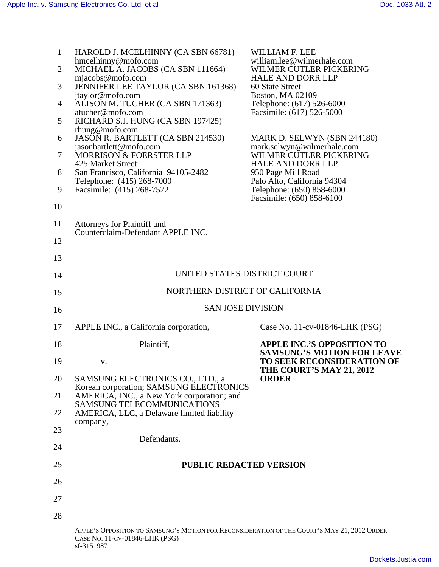|          | HAROLD J. MCELHINNY (CA SBN 66781)                                                           | WILLIAM F. LEE                                                         |
|----------|----------------------------------------------------------------------------------------------|------------------------------------------------------------------------|
|          | hmcelhinny@mofo.com<br>2 MICHAEL A. JACOBS (CA SBN 111664)                                   | william.lee@wilmerhale.com<br>WILMER CUTLER PICKERING                  |
|          | mjaecobs@mofo.com<br>JENNIFER LEE TAYLOR (CA SBN 161368)                                     | HALE AND DORR LLP<br>60 State Street                                   |
|          | jtaylor@mofo.com<br>$4 \parallel$ ALISON M. TUCHER (CA SBN 171363)                           | Boston, MA 02109<br>Telephone: (617) 526-6000                          |
|          | atucher@mofo.com<br>$5$ RICHARD S.J. HUNG (CA SBN 197425)                                    | Facsimile: (617) 526-5000                                              |
|          | $r$ hung@mofo.com<br>6 JASON R. BARTLETT (CA SBN 214530)<br>jasonbartlett@mofo.com           | MARK D. SELWYN (SBN 244180)<br>mark.selwyn@wilmerhale.com              |
| 7 I      | MORRISON & FOERSTER LLP<br>425 Market Street                                                 | WILMER CUTLER PICKERING<br>HALE AND DORR LLP                           |
|          | 8 San Francisco, California 94105-2482<br>Telephone: (415) 268-7000                          | 950 Page Mill Road<br>Palo Alto, California 94304                      |
|          | 9   Facsimile: $(415)$ 268-7522                                                              | Telephone: (650) 858-6000<br>Facsimile: (650) 858-6100                 |
| 10       |                                                                                              |                                                                        |
| 11       | Attorneys for Plaintiff and<br>Counterclaim-Defendant APPLE INC.                             |                                                                        |
| 12       |                                                                                              |                                                                        |
| 13       |                                                                                              |                                                                        |
| 14       | UNITED STATES DISTRICT COURT                                                                 |                                                                        |
| 15       | NORTHERN DISTRICT OF CALIFORNIA                                                              |                                                                        |
| 16       | <b>SAN JOSE DIVISION</b>                                                                     |                                                                        |
| 17       | APPLE INC., a California corporation,                                                        | Case No. 11-cv-01846-LHK (PSG)                                         |
| 18       | Plaintiff.                                                                                   | <b>APPLE INC.'S OPPOSITION TO</b><br><b>SAMSUNG'S MOTION FOR LEAVE</b> |
| 19       | V.                                                                                           | TO SEEK RECONSIDERATION OF<br>THE COURT'S MAY 21, 2012                 |
|          | 20 SAMSUNG ELECTRONICS CO., LTD., a<br>Korean corporation; SAMSUNG ELECTRONICS               | <b>ORDER</b>                                                           |
| 21       | AMERICA, INC., a New York corporation; and<br>SAMSUNG TELECOMMUNICATIONS                     |                                                                        |
| 22       | AMERICA, LLC, a Delaware limited liability<br>company,                                       |                                                                        |
| 23<br>24 | Defendants.                                                                                  |                                                                        |
| 25       |                                                                                              |                                                                        |
|          | <b>PUBLIC REDACTED VERSION</b>                                                               |                                                                        |
| 26       |                                                                                              |                                                                        |
| 27<br>28 |                                                                                              |                                                                        |
|          | APPLE'S OPPOSITION TO SAMSUNG'S MOTION FOR RECONSIDERATION OF THE COURT'S MAY 21, 2012 ORDER |                                                                        |
|          | CASE NO. 11-CV-01846-LHK (PSG)<br>sf-3151987                                                 |                                                                        |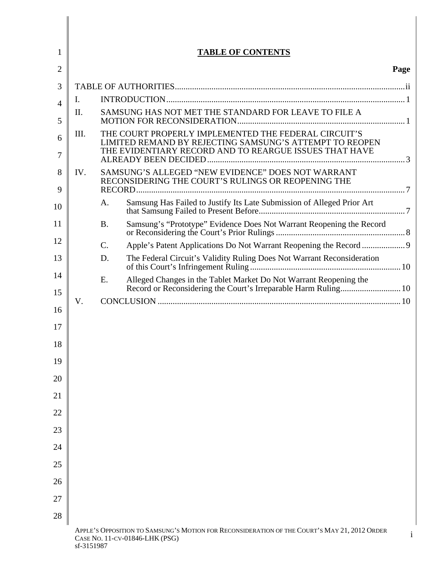|          | <b>TABLE OF CONTENTS</b>                                                                                                                |
|----------|-----------------------------------------------------------------------------------------------------------------------------------------|
|          | Page                                                                                                                                    |
|          | TABLE OF AUTHORITIES                                                                                                                    |
|          | INTRODUCTION.                                                                                                                           |
|          | SAMSUNG HAS NOT MET THE STANDARD FOR LEAVE TO FILE A<br>MOTION FOR RECONSIDERATION.                                                     |
| 6        | THE COURT PROPERLY IMPLEMENTED THE FEDERAL CIRCUIT'S<br>$\parallel$ III.<br>LIMITED REMAND BY REJECTING SAMSUNG'S ATTEMPT TO REOPEN     |
|          | THE EVIDENTIARY RECORD AND TO REARGUE ISSUES THAT HAVE<br>ALREADY BEEN DECIDED.                                                         |
| $\Omega$ | SAMSUNG'S ALLEGED "NEW EVIDENCE" DOES NOT WARRANT<br>$8 \parallel$ IV.<br>RECONSIDERING THE COURT'S RULINGS OR REOPENING THE<br>RECORD. |
| 10       | A.                                                                                                                                      |
|          | <b>B.</b>                                                                                                                               |
| 12       | Apple's Patent Applications Do Not Warrant Reopening the Record<br>C.                                                                   |
|          | D.<br>10                                                                                                                                |
| 14       | Alleged Changes in the Tablet Market Do Not Warrant Reopening the Record or Reconsidering the Court's Irreparable Harm Ruling<br>Ε.     |
|          | 10                                                                                                                                      |
|          | CONCLUSION.<br>$10^{-7}$                                                                                                                |
|          |                                                                                                                                         |
|          |                                                                                                                                         |
| 19       |                                                                                                                                         |
| 20       |                                                                                                                                         |
|          |                                                                                                                                         |
|          |                                                                                                                                         |
| 22       |                                                                                                                                         |
| 23       |                                                                                                                                         |
| 24       |                                                                                                                                         |
| 25       |                                                                                                                                         |
| 26       |                                                                                                                                         |
| 27       |                                                                                                                                         |
| 28       |                                                                                                                                         |
|          | APPLE'S OPPOSITION TO SAMSUNG'S MOTION FOR RECONSIDERATION OF THE COURT'S MAY 21, 2012 ORDER<br>CASE NO. 11-CV-01846-LHK (PSG)          |

 $\mathbf{I}$ Ι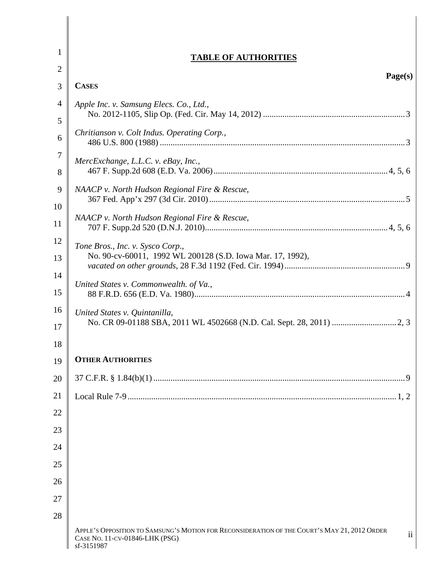|    | <b>TABLE OF AUTHORITIES</b>                                                                                                                  |
|----|----------------------------------------------------------------------------------------------------------------------------------------------|
|    | Page(s)                                                                                                                                      |
|    | <b>CASES</b>                                                                                                                                 |
|    | Apple Inc. v. Samsung Elecs. Co., Ltd.,                                                                                                      |
|    | No. 2012-1105, Slip Op. (Fed. Cir. May 14, 2012).                                                                                            |
| 6  | Chritianson v. Colt Indus. Operating Corp.,                                                                                                  |
|    |                                                                                                                                              |
|    | MercExchange, L.L.C. v. eBay, Inc.,<br>467 F. Supp.2d 608 (E.D. Va. 2006)                                                                    |
|    | 9   NAACP v. North Hudson Regional Fire & Rescue,                                                                                            |
| 10 | 367 Fed. App'x 297 (3d Cir. 2010)                                                                                                            |
|    | NAACP v. North Hudson Regional Fire & Rescue,                                                                                                |
|    | .4, 5, 6<br>707 F. Supp.2d 520 (D.N.J. 2010)                                                                                                 |
|    | Tone Bros., Inc. v. Sysco Corp.,<br>No. 90-cv-60011, 1992 WL 200128 (S.D. Iowa Mar. 17, 1992),                                               |
|    | vacated on other grounds, 28 F.3d 1192 (Fed. Cir. 1994)                                                                                      |
|    | United States v. Commonwealth. of Va.,                                                                                                       |
|    | 88 F.R.D. 656 (E.D. Va. 1980).                                                                                                               |
|    | United States v. Quintanilla,                                                                                                                |
|    |                                                                                                                                              |
|    |                                                                                                                                              |
|    | 19 OTHER AUTHORITIES                                                                                                                         |
|    | 20 37 C.F.R. § 1.84(b)(1)                                                                                                                    |
|    | $\ldots$ 1, 2                                                                                                                                |
| 22 |                                                                                                                                              |
| 23 |                                                                                                                                              |
|    |                                                                                                                                              |
| 25 |                                                                                                                                              |
| 26 |                                                                                                                                              |
| 27 |                                                                                                                                              |
| 28 |                                                                                                                                              |
|    | APPLE'S OPPOSITION TO SAMSUNG'S MOTION FOR RECONSIDERATION OF THE COURT'S MAY 21, 2012 ORDER<br>CASE NO. 11-CV-01846-LHK (PSG)<br>sf-3151987 |

∥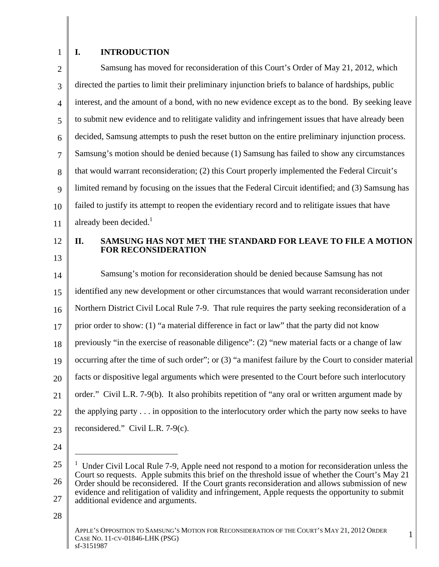## 1 | I. INTRODUCTION **I. INTRODUCTION**

|    | Samsung has moved for reconsideration of this Court's Order of May 21, 2012, which                      |
|----|---------------------------------------------------------------------------------------------------------|
|    | directed the parties to limit their preliminary injunction briefs to balance of hardships, public       |
|    | interest, and the amount of a bond, with no new evidence except as to the bond. By seeking leave        |
|    | to submit new evidence and to relitigate validity and infringement issues that have already been        |
|    | decided, Samsung attempts to push the reset button on the entire preliminary injunction process.        |
|    | Samsung's motion should be denied because (1) Samsung has failed to show any circumstances              |
|    | that would warrant reconsideration; (2) this Court properly implemented the Federal Circuit's           |
|    | limited remand by focusing on the issues that the Federal Circuit identified; and (3) Samsung has       |
|    | failed to justify its attempt to reopen the evidentiary record and to relitigate issues that have       |
|    | already been decided. <sup>1</sup>                                                                      |
|    | SAMSUNG HAS NOT MET THE STANDARD FOR LEAVE TO FILE A MOTION<br>II.                                      |
| 13 | <b>FOR RECONSIDERATION</b>                                                                              |
| l4 | Samsung's motion for reconsideration should be denied because Samsung has not                           |
|    | identified any new development or other circumstances that would warrant reconsideration under          |
|    | Northern District Civil Local Rule 7-9. That rule requires the party seeking reconsideration of a       |
|    | prior order to show: (1) "a material difference in fact or law" that the party did not know             |
| 18 | previously "in the exercise of reasonable diligence": (2) "new material facts or a change of law        |
|    | occurring after the time of such order"; or $(3)$ "a manifest failure by the Court to consider material |
|    | 20   facts or dispositive legal arguments which were presented to the Court before such interlocutory   |
|    | order." Civil L.R. 7-9(b). It also prohibits repetition of "any oral or written argument made by        |
|    | 22   the applying party in opposition to the interlocutory order which the party now seeks to have      |
|    |                                                                                                         |
|    | 23   reconsidered." Civil L.R. 7-9(c).                                                                  |

 $\begin{array}{c|c} 25 & \overline{1} & \overline{1} \\ \hline \end{array}$  Under Civil Local Rule 7-9, Apple need not respond to a motion for reconsideration unless the 26 Order should be reconsidered. If the Court grants reconsideration and allows submission of new  $27 \parallel$  additional evidence and arguments. Court so requests. Apple submits this brief on the threshold issue of whether the Court's May 21 evidence and relitigation of validity and infringement, Apple requests the opportunity to submit

 $28 \parallel$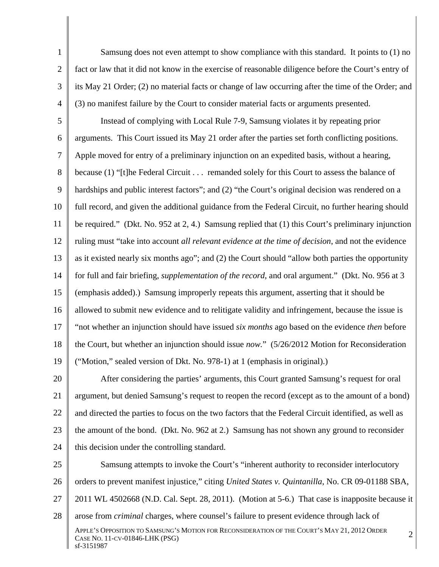1 Samsung does not even attempt to show compliance with this standard. It points to (1) no 2 fact or law that it did not know in the exercise of reasonable diligence before the Court's entry of 3 its May 21 Order; (2) no material facts or change of law occurring after the time of the Order; and 4 (3) no manifest failure by the Court to consider material facts or arguments presented.

5 Instead of complying with Local Rule 7-9, Samsung violates it by repeating prior 6 arguments. This Court issued its May 21 order after the parties set forth conflicting positions. 7 Apple moved for entry of a preliminary injunction on an expedited basis, without a hearing, 8 because (1) "[t]he Federal Circuit . . . remanded solely for this Court to assess the balance of 9 A hardships and public interest factors"; and (2) "the Court's original decision was rendered on a 10 | full record, and given the additional guidance from the Federal Circuit, no further hearing should | 11 | be required." (Dkt. No. 952 at 2, 4.) Samsung replied that (1) this Court's preliminary injunction | 12 | ruling must "take into account *all relevant evidence at the time of decision*, and not the evidence | 13 as it existed nearly six months ago"; and (2) the Court should "allow both parties the opportunity and 13 14 for full and fair briefing, *supplementation of the record*, and oral argument." (Dkt. No. 956 at 3 15 (emphasis added).) Samsung improperly repeats this argument, asserting that it should be 16 allowed to submit new evidence and to relitigate validity and infringement, because the issue is 17 "not whether an injunction should have issued *six months* ago based on the evidence *then* before 18 the Court, but whether an injunction should issue *now*." (5/26/2012 Motion for Reconsideration 19 ("Motion," sealed version of Dkt. No. 978-1) at 1 (emphasis in original).)

20 After considering the parties' arguments, this Court granted Samsung's request for oral 21 | argument, but denied Samsung's request to reopen the record (except as to the amount of a bond) | 22 | and directed the parties to focus on the two factors that the Federal Circuit identified, as well as 23 the amount of the bond. (Dkt. No. 962 at 2.) Samsung has not shown any ground to reconsider 24 this decision under the controlling standard.

25 Samsung attempts to invoke the Court's "inherent authority to reconsider interlocutory 26 | orders to prevent manifest injustice," citing *United States v. Quintanilla*, No. CR 09-01188 SBA, | 27 | 2011 WL 4502668 (N.D. Cal. Sept. 28, 2011). (Motion at 5-6.) That case is inapposite because it | 28 arose from *criminal* charges, where counsel's failure to present evidence through lack of APPLE'S OPPOSITION TO SAMSUNG'S MOTION FOR RECONSIDERATION OF THE COURT'S MAY 21, 2012 ORDER APPLE S OPPOSITION TO SAMSONG S MOTION FOR RECONSIDERATION OF THE COORT S WAT 21, 2012 ORDER  $2$  $\text{sf-3151987}$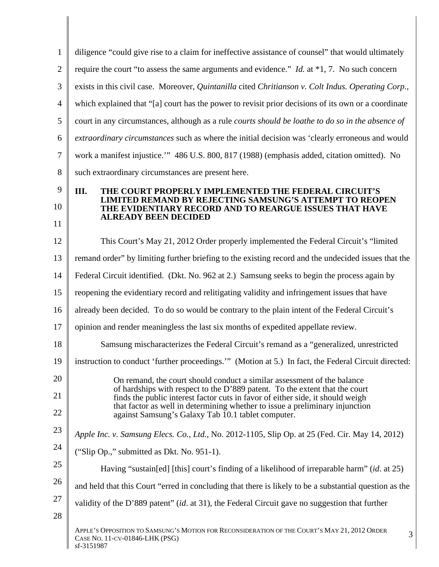|                | diligence "could give rise to a claim for ineffective assistance of counsel" that would ultimately                                                                                                                                                                                                                                                                             |  |
|----------------|--------------------------------------------------------------------------------------------------------------------------------------------------------------------------------------------------------------------------------------------------------------------------------------------------------------------------------------------------------------------------------|--|
|                | require the court "to assess the same arguments and evidence." <i>Id.</i> at *1, 7. No such concern                                                                                                                                                                                                                                                                            |  |
|                | exists in this civil case. Moreover, Quintanilla cited Chritianson v. Colt Indus. Operating Corp.,                                                                                                                                                                                                                                                                             |  |
|                | which explained that "[a] court has the power to revisit prior decisions of its own or a coordinate                                                                                                                                                                                                                                                                            |  |
|                | court in any circumstances, although as a rule <i>courts should be loathe to do so in the absence of</i>                                                                                                                                                                                                                                                                       |  |
|                | extraordinary circumstances such as where the initial decision was 'clearly erroneous and would                                                                                                                                                                                                                                                                                |  |
|                | work a manifest injustice." 486 U.S. 800, 817 (1988) (emphasis added, citation omitted). No                                                                                                                                                                                                                                                                                    |  |
|                | such extraordinary circumstances are present here.                                                                                                                                                                                                                                                                                                                             |  |
| 10             | III.<br>THE COURT PROPERLY IMPLEMENTED THE FEDERAL CIRCUIT'S<br><b>LIMITED REMAND BY REJECTING SAMSUNG'S ATTEMPT TO REOPEN</b><br>THE EVIDENTIARY RECORD AND TO REARGUE ISSUES THAT HAVE<br><b>ALREADY BEEN DECIDED</b>                                                                                                                                                        |  |
|                | This Court's May 21, 2012 Order properly implemented the Federal Circuit's "limited"                                                                                                                                                                                                                                                                                           |  |
|                | remand order" by limiting further briefing to the existing record and the undecided issues that the                                                                                                                                                                                                                                                                            |  |
|                | Federal Circuit identified. (Dkt. No. 962 at 2.) Samsung seeks to begin the process again by                                                                                                                                                                                                                                                                                   |  |
|                | reopening the evidentiary record and relitigating validity and infringement issues that have                                                                                                                                                                                                                                                                                   |  |
|                | already been decided. To do so would be contrary to the plain intent of the Federal Circuit's                                                                                                                                                                                                                                                                                  |  |
|                | opinion and render meaningless the last six months of expedited appellate review.                                                                                                                                                                                                                                                                                              |  |
| 18             | Samsung mischaracterizes the Federal Circuit's remand as a "generalized, unrestricted                                                                                                                                                                                                                                                                                          |  |
| $19 \parallel$ | instruction to conduct 'further proceedings."" (Motion at 5.) In fact, the Federal Circuit directed:                                                                                                                                                                                                                                                                           |  |
| 20             | On remand, the court should conduct a similar assessment of the balance<br>of hardships with respect to the D'889 patent. To the extent that the court<br>finds the public interest factor cuts in favor of either side, it should weigh<br>that factor as well in determining whether to issue a preliminary injunction<br>against Samsung's Galaxy Tab 10.1 tablet computer. |  |
|                | Apple Inc. v. Samsung Elecs. Co., Ltd., No. 2012-1105, Slip Op. at 25 (Fed. Cir. May 14, 2012)                                                                                                                                                                                                                                                                                 |  |
|                | ("Slip Op.," submitted as Dkt. No. 951-1).                                                                                                                                                                                                                                                                                                                                     |  |
| 25             | Having "sustain[ed] [this] court's finding of a likelihood of irreparable harm" (id. at 25)                                                                                                                                                                                                                                                                                    |  |
|                | and held that this Court "erred in concluding that there is likely to be a substantial question as the                                                                                                                                                                                                                                                                         |  |
|                | validity of the D'889 patent" (id. at 31), the Federal Circuit gave no suggestion that further                                                                                                                                                                                                                                                                                 |  |
| 28             |                                                                                                                                                                                                                                                                                                                                                                                |  |
|                | APPLE'S OPPOSITION TO SAMSUNG'S MOTION FOR RECONSIDERATION OF THE COURT'S MAY 21, 2012 ORDER<br>CASE NO. 11-CV-01846-LHK (PSG)                                                                                                                                                                                                                                                 |  |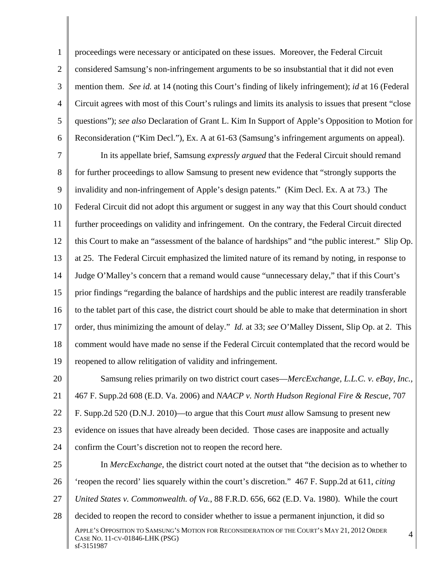proceedings were necessary or anticipated on these issues. Moreover, the Federal Circuit 2 | considered Samsung's non-infringement arguments to be so insubstantial that it did not even mention them. *See id.* at 14 (noting this Court's finding of likely infringement); *id* at 16 (Federal Circuit agrees with most of this Court's rulings and limits its analysis to issues that present "close questions"); *see also* Declaration of Grant L. Kim In Support of Apple's Opposition to Motion for

6 Reconsideration ("Kim Decl."), Ex. A at 61-63 (Samsung's infringement arguments on appeal). In its appellate brief, Samsung *expressly argued* that the Federal Circuit should remand 7 | In its appellate brief, Samsung *expressly argued* that the Federal Circuit should remand 8 for further proceedings to allow Samsung to present new evidence that "strongly supports the 9 invalidity and non-infringement of Apple's design patents." (Kim Decl. Ex. A at 73.) The 10 Federal Circuit did not adopt this argument or suggest in any way that this Court should conduct 11 Turther proceedings on validity and infringement. On the contrary, the Federal Circuit directed 12 this Court to make an "assessment of the balance of hardships" and "the public interest." Slip Op. 13  $\parallel$  at 25. The Federal Circuit emphasized the limited nature of its remand by noting, in response to 14 Judge O'Malley's concern that a remand would cause "unnecessary delay," that if this Court's 15 prior findings "regarding the balance of hardships and the public interest are readily transferable 16 to the tablet part of this case, the district court should be able to make that determination in short 17  $\parallel$  order, thus minimizing the amount of delay." *Id.* at 33; *see* O'Malley Dissent, Slip Op. at 2. This  $\parallel$ 18 comment would have made no sense if the Federal Circuit contemplated that the record would be 19 reopened to allow relitigation of validity and infringement.

20 Samsung relies primarily on two district court cases—*MercExchange, L.L.C. v. eBay, Inc.*, 21 467 F. Supp.2d 608 (E.D. Va. 2006) and *NAACP v. North Hudson Regional Fire & Rescue*, 707 22 F. Supp.2d 520 (D.N.J. 2010)—to argue that this Court *must* allow Samsung to present new 23 | evidence on issues that have already been decided. Those cases are inapposite and actually 24 confirm the Court's discretion not to reopen the record here.

25 | In MercExchange, the district court noted at the outset that "the decision as to whether to 26 'reopen the record' lies squarely within the court's discretion." 467 F. Supp.2d at 611, *citing* 27 *United States v. Commonwealth. of Va.*, 88 F.R.D. 656, 662 (E.D. Va. 1980). While the court 28 decided to reopen the record to consider whether to issue a permanent injunction, it did so APPLE'S OPPOSITION TO SAMSUNG'S MOTION FOR RECONSIDERATION OF THE COURT'S MAY 21, 2012 ORDER 4 APPLE S OPPOSITION TO SAMSONG S MOTION FOR RECONSIDERATION OF THE COOKT S WAT 21, 2012 ORDER  $4 \begin{bmatrix} 4 \end{bmatrix}$  $\text{sf-3151987}$ confirm the Court's discretion not to reopen the record here.<br>In *MercExchange*, the district court noted at the outset that "the decision as to whether to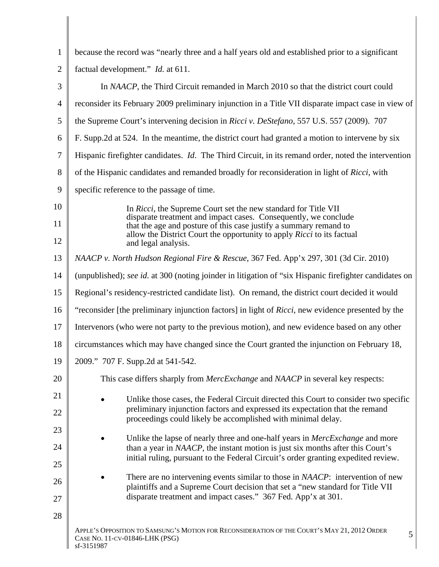|    | because the record was "nearly three and a half years old and established prior to a significant                                                               |
|----|----------------------------------------------------------------------------------------------------------------------------------------------------------------|
|    | factual development." <i>Id.</i> at 611.                                                                                                                       |
|    | In NAACP, the Third Circuit remanded in March 2010 so that the district court could                                                                            |
|    | 4   reconsider its February 2009 preliminary injunction in a Title VII disparate impact case in view of                                                        |
|    | 5 the Supreme Court's intervening decision in <i>Ricci v. DeStefano</i> , 557 U.S. 557 (2009). 707                                                             |
|    | 6   F. Supp. 2d at 524. In the meantime, the district court had granted a motion to intervene by six                                                           |
|    | 7   Hispanic firefighter candidates. <i>Id.</i> The Third Circuit, in its remand order, noted the intervention                                                 |
|    | 8 of the Hispanic candidates and remanded broadly for reconsideration in light of <i>Ricci</i> , with                                                          |
|    | specific reference to the passage of time.                                                                                                                     |
| 10 | In <i>Ricci</i> , the Supreme Court set the new standard for Title VII                                                                                         |
| 11 | disparate treatment and impact cases. Consequently, we conclude that the age and posture of this case justify a summary remand to                              |
| 12 | allow the District Court the opportunity to apply Ricci to its factual<br>and legal analysis.                                                                  |
|    | 13   NAACP v. North Hudson Regional Fire & Rescue, 367 Fed. App'x 297, 301 (3d Cir. 2010)                                                                      |
|    | 14   (unpublished); see id. at 300 (noting joinder in litigation of "six Hispanic firefighter candidates on                                                    |
|    | 15   Regional's residency-restricted candidate list). On remand, the district court decided it would                                                           |
|    | 16 "reconsider [the preliminary injunction factors] in light of <i>Ricci</i> , new evidence presented by the                                                   |
|    | 17   Intervenors (who were not party to the previous motion), and new evidence based on any other                                                              |
|    | 18   circumstances which may have changed since the Court granted the injunction on February 18,                                                               |
|    | 19 2009." 707 F. Supp.2d at 541-542.                                                                                                                           |
| 20 | This case differs sharply from <i>MercExchange</i> and <i>NAACP</i> in several key respects:                                                                   |
| 21 | Unlike those cases, the Federal Circuit directed this Court to consider two specific                                                                           |
| 22 | preliminary injunction factors and expressed its expectation that the remand                                                                                   |
| 23 | proceedings could likely be accomplished with minimal delay.                                                                                                   |
| 24 | Unlike the lapse of nearly three and one-half years in MercExchange and more<br>than a year in NAACP, the instant motion is just six months after this Court's |
| 25 | initial ruling, pursuant to the Federal Circuit's order granting expedited review.                                                                             |
| 26 | There are no intervening events similar to those in NAACP: intervention of new                                                                                 |
| 27 | plaintiffs and a Supreme Court decision that set a "new standard for Title VII<br>disparate treatment and impact cases." 367 Fed. App'x at 301.                |
| 28 |                                                                                                                                                                |
|    | APPLE'S OPPOSITION TO SAMSUNG'S MOTION FOR RECONSIDERATION OF THE COURT'S MAY 21, 2012 ORDER<br>CASE NO. 11-CV-01846-LHK (PSG)                                 |

 $\text{sf-3151987}$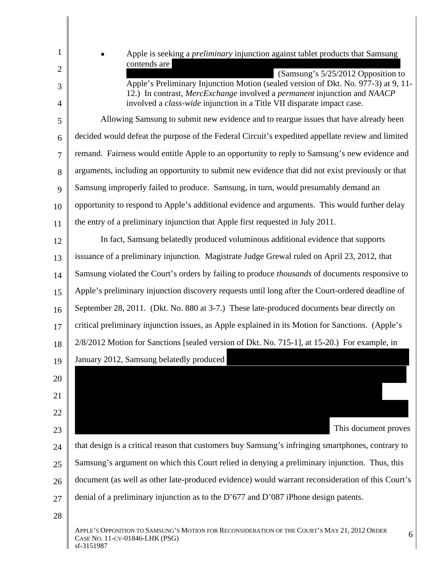|                | Apple is seeking a <i>preliminary</i> injunction against tablet products that Samsung                                                                          |
|----------------|----------------------------------------------------------------------------------------------------------------------------------------------------------------|
|                | contends are<br>(Samsung's 5/25/2012 Opposition to                                                                                                             |
|                | Apple's Preliminary Injunction Motion (sealed version of Dkt. No. 977-3) at 9, 11-<br>12.) In contrast, MercExchange involved a permanent injunction and NAACP |
|                | involved a <i>class-wide</i> injunction in a Title VII disparate impact case.                                                                                  |
| $\sim$         | Allowing Samsung to submit new evidence and to reargue issues that have already been                                                                           |
| 6 <sup>1</sup> | decided would defeat the purpose of the Federal Circuit's expedited appellate review and limited                                                               |
|                | remand. Fairness would entitle Apple to an opportunity to reply to Samsung's new evidence and                                                                  |
|                | 8 arguments, including an opportunity to submit new evidence that did not exist previously or that                                                             |
|                | 9 Samsung improperly failed to produce. Samsung, in turn, would presumably demand an                                                                           |
| $10-1$         | opportunity to respond to Apple's additional evidence and arguments. This would further delay                                                                  |
|                | the entry of a preliminary injunction that Apple first requested in July 2011.                                                                                 |
| 12             | In fact, Samsung belatedly produced voluminous additional evidence that supports                                                                               |
| $13 \parallel$ | issuance of a preliminary injunction. Magistrate Judge Grewal ruled on April 23, 2012, that                                                                    |
|                | $14$ Samsung violated the Court's orders by failing to produce <i>thousands</i> of documents responsive to                                                     |
| $15 \parallel$ | Apple's preliminary injunction discovery requests until long after the Court-ordered deadline of                                                               |
|                | 16 September 28, 2011. (Dkt. No. 880 at 3-7.) These late-produced documents bear directly on                                                                   |
| $17 \parallel$ | critical preliminary injunction issues, as Apple explained in its Motion for Sanctions. (Apple's                                                               |
| 18 I           | 2/8/2012 Motion for Sanctions [sealed version of Dkt. No. 715-1], at 15-20.) For example, in                                                                   |
|                | 19 January 2012, Samsung belatedly produced                                                                                                                    |
| 20             |                                                                                                                                                                |
| 21             |                                                                                                                                                                |
| 22             |                                                                                                                                                                |
| 23             | This document proves                                                                                                                                           |
| 24             | that design is a critical reason that customers buy Samsung's infringing smartphones, contrary to                                                              |
| $25 \parallel$ | Samsung's argument on which this Court relied in denying a preliminary injunction. Thus, this                                                                  |
| 26             | document (as well as other late-produced evidence) would warrant reconsideration of this Court's                                                               |
| 27             | denial of a preliminary injunction as to the D'677 and D'087 iPhone design patents.                                                                            |
|                |                                                                                                                                                                |
| 28             | APPLE'S OPPOSITION TO SAMSUNG'S MOTION FOR RECONSIDERATION OF THE COURT'S MAY 21, 2012 ORDER                                                                   |
|                | CASE NO. 11-CV-01846-LHK (PSG)<br>sf-3151987                                                                                                                   |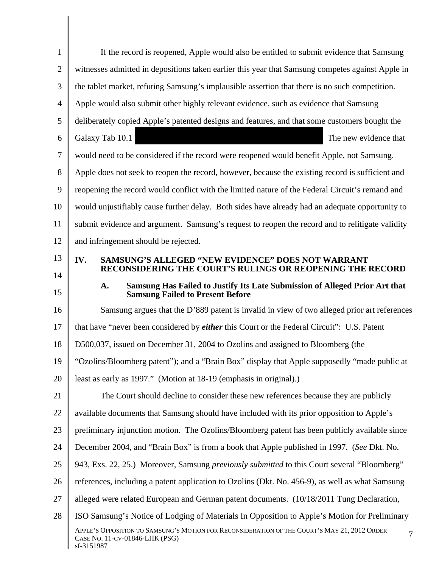|                 | If the record is reopened, Apple would also be entitled to submit evidence that Samsung                                                      |
|-----------------|----------------------------------------------------------------------------------------------------------------------------------------------|
|                 | witnesses admitted in depositions taken earlier this year that Samsung competes against Apple in                                             |
|                 | the tablet market, refuting Samsung's implausible assertion that there is no such competition.                                               |
|                 | Apple would also submit other highly relevant evidence, such as evidence that Samsung                                                        |
|                 | deliberately copied Apple's patented designs and features, and that some customers bought the                                                |
|                 | The new evidence that<br>Galaxy Tab 10.1                                                                                                     |
|                 | would need to be considered if the record were reopened would benefit Apple, not Samsung.                                                    |
|                 | Apple does not seek to reopen the record, however, because the existing record is sufficient and                                             |
| Q.              | reopening the record would conflict with the limited nature of the Federal Circuit's remand and                                              |
| 10 I            | would unjustifiably cause further delay. Both sides have already had an adequate opportunity to                                              |
|                 | submit evidence and argument. Samsung's request to reopen the record and to relitigate validity                                              |
| 12 I            | and infringement should be rejected.                                                                                                         |
| 13 I            | IV.<br><b>SAMSUNG'S ALLEGED "NEW EVIDENCE" DOES NOT WARRANT</b>                                                                              |
| 14              | RECONSIDERING THE COURT'S RULINGS OR REOPENING THE RECORD                                                                                    |
| 15              | Samsung Has Failed to Justify Its Late Submission of Alleged Prior Art that<br><b>A.</b><br><b>Samsung Failed to Present Before</b>          |
| 16              | Samsung argues that the D'889 patent is invalid in view of two alleged prior art references                                                  |
|                 | that have "never been considered by <i>either</i> this Court or the Federal Circuit": U.S. Patent                                            |
| 18 I            | D500,037, issued on December 31, 2004 to Ozolins and assigned to Bloomberg (the                                                              |
|                 | 19 "Ozolins/Bloomberg patent"); and a "Brain Box" display that Apple supposedly "made public at                                              |
| 20 <sub>1</sub> | least as early as 1997." (Motion at 18-19 (emphasis in original).)                                                                           |
| 21              | The Court should decline to consider these new references because they are publicly                                                          |
| 22              | available documents that Samsung should have included with its prior opposition to Apple's                                                   |
| $23 \parallel$  | preliminary injunction motion. The Ozolins/Bloomberg patent has been publicly available since                                                |
|                 | 24 December 2004, and "Brain Box" is from a book that Apple published in 1997. (See Dkt. No.                                                 |
|                 | 25   943, Exs. 22, 25.) Moreover, Samsung <i>previously submitted</i> to this Court several "Bloomberg"                                      |
| $26 \parallel$  | references, including a patent application to Ozolins (Dkt. No. 456-9), as well as what Samsung                                              |
| $27 \parallel$  | alleged were related European and German patent documents. (10/18/2011 Tung Declaration,                                                     |
| 28              | ISO Samsung's Notice of Lodging of Materials In Opposition to Apple's Motion for Preliminary                                                 |
|                 | APPLE'S OPPOSITION TO SAMSUNG'S MOTION FOR RECONSIDERATION OF THE COURT'S MAY 21, 2012 ORDER<br>CASE No. 11-CV-01846-LHK (PSG)<br>sf-3151987 |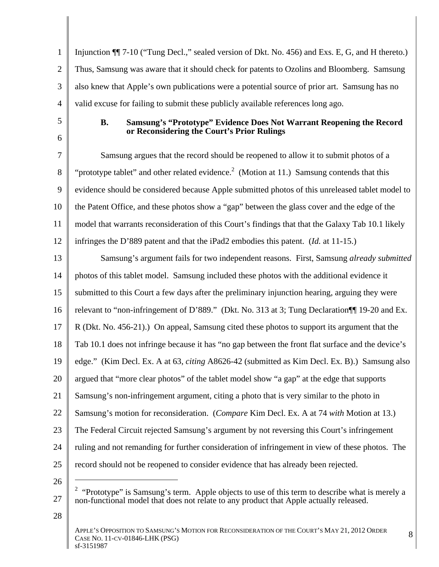1 Injunction  $\P$  7-10 ("Tung Decl.," sealed version of Dkt. No. 456) and Exs. E, G, and H thereto.) 2 Thus, Samsung was aware that it should check for patents to Ozolins and Bloomberg. Samsung 3 also knew that Apple's own publications were a potential source of prior art. Samsung has no 4 valid excuse for failing to submit these publicly available references long ago.

## 5 **B. Samsung's "Prototype" Evidence Does Not Warrant Reopening the Record**   $\frac{1}{2}$ **or Reconsidering the Court's Prior Rulings**

7 Samsung argues that the record should be reopened to allow it to submit photos of a 8 "investment value of the related evidence.<sup>2</sup> (Motion at 11.) Samsung contends that this 9 vidence should be considered because Apple submitted photos of this unreleased tablet model to 10 the Patent Office, and these photos show a "gap" between the glass cover and the edge of the 11 model that warrants reconsideration of this Court's findings that that the Galaxy Tab 10.1 likely 12 infringes the D'889 patent and that the iPad2 embodies this patent. (*Id.* at 11-15.)

13 Samsung's argument fails for two independent reasons. First, Samsung *already submitted* 14 | photos of this tablet model. Samsung included these photos with the additional evidence it 15 | submitted to this Court a few days after the preliminary injunction hearing, arguing they were 16 Televant to "non-infringement of D'889." (Dkt. No. 313 at 3; Tung Declaration 119-20 and Ex. 17 | R (Dkt. No. 456-21).) On appeal, Samsung cited these photos to support its argument that the 18 Tab 10.1 does not infringe because it has "no gap between the front flat surface and the device's 19 edge." (Kim Decl. Ex. A at 63, *citing* A8626-42 (submitted as Kim Decl. Ex. B).) Samsung also 20 argued that "more clear photos" of the tablet model show "a gap" at the edge that supports 21 Samsung's non-infringement argument, citing a photo that is very similar to the photo in 22 Samsung's motion for reconsideration. (*Compare* Kim Decl. Ex. A at 74 *with* Motion at 13.) 23 The Federal Circuit rejected Samsung's argument by not reversing this Court's infringement 24 | ruling and not remanding for further consideration of infringement in view of these photos. The 25 | record should not be reopened to consider evidence that has already been rejected.

 $26$   $\parallel$   $\sim$ 

 $28 \parallel$ 

<sup>27</sup> non-functional model that does not relate to any product that Apple actually released. <sup>2</sup> "Prototype" is Samsung's term. Apple objects to use of this term to describe what is merely a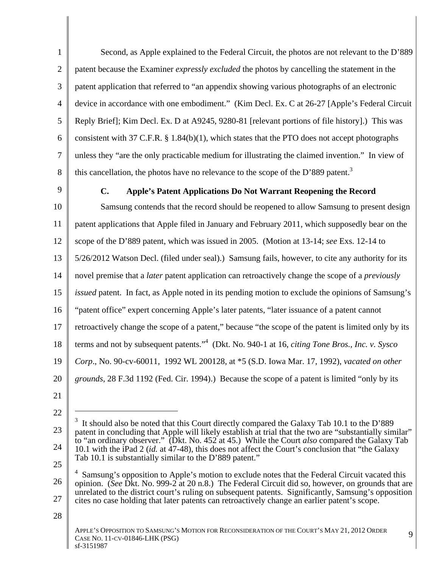1 Second, as Apple explained to the Federal Circuit, the photos are not relevant to the D'889 2 patent because the Examiner *expressly excluded* the photos by cancelling the statement in the 3 neter application that referred to "an appendix showing various photographs of an electronic 4 device in accordance with one embodiment." (Kim Decl. Ex. C at 26-27 [Apple's Federal Circuit 5 Reply Brief]; Kim Decl. Ex. D at A9245, 9280-81 [relevant portions of file history].) This was 6 consistent with 37 C.F.R. § 1.84(b)(1), which states that the PTO does not accept photographs 7 unless they "are the only practicable medium for illustrating the claimed invention." In view of 8 this cancellation, the photos have no relevance to the scope of the D'889 patent.<sup>3</sup>

## 9 **C. Apple's Patent Applications Do Not Warrant Reopening the Record**

10 Samsung contends that the record should be reopened to allow Samsung to present design 11 | patent applications that Apple filed in January and February 2011, which supposedly bear on the 12 scope of the D'889 patent, which was issued in 2005. (Motion at 13-14; *see* Exs. 12-14 to 13 | 5/26/2012 Watson Decl. (filed under seal).) Samsung fails, however, to cite any authority for its 14 novel premise that a *later* patent application can retroactively change the scope of a *previously* 15 *issued* patent. In fact, as Apple noted in its pending motion to exclude the opinions of Samsung's | 16 "patent office" expert concerning Apple's later patents, "later issuance of a patent cannot 17 Tetroactively change the scope of a patent," because "the scope of the patent is limited only by its 18 terms and not by subsequent patents."<sup>4</sup> (Dkt. No. 940-1 at 16, *citing Tone Bros., Inc. v. Sysco* 19 *Corp*., No. 90-cv-60011, 1992 WL 200128, at \*5 (S.D. Iowa Mar. 17, 1992), *vacated on other*  20 *grounds*, 28 F.3d 1192 (Fed. Cir. 1994).) Because the scope of a patent is limited "only by its

21 | $\blacksquare$ 

 $28 \parallel$ 

 $22 \parallel$ 

<sup>23 |</sup> patent in concluding that Apple will likely establish at trial that the two are "substantially similar" |  $24 \parallel 10.1$  with the iPad 2 (*id.* at 47-48), this does not affect the Court's conclusion that "the Galaxy  $25 \parallel$ <sup>3</sup> It should also be noted that this Court directly compared the Galaxy Tab 10.1 to the D'889 to "an ordinary observer." (Dkt. No. 452 at 45.) While the Court *also* compared the Galaxy Tab Tab 10.1 is substantially similar to the D'889 patent."

<sup>26</sup> opinion. (*See* Dkt. No. 999-2 at 20 n.8.) The Federal Circuit did so, however, on grounds that are 27 cites no case holding that later patents can retroactively change an earlier patent's scope. <sup>4</sup> Samsung's opposition to Apple's motion to exclude notes that the Federal Circuit vacated this unrelated to the district court's ruling on subsequent patents. Significantly, Samsung's opposition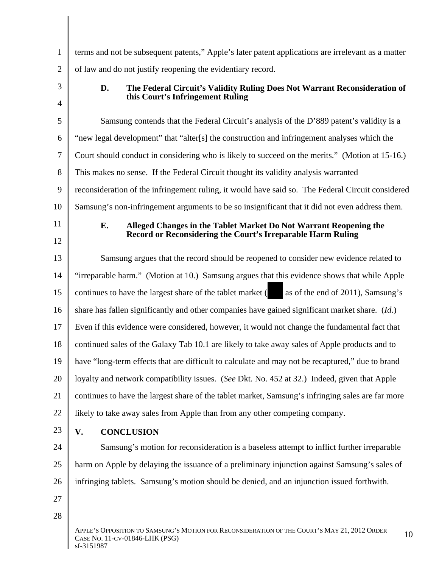|                 | terms and not be subsequent patents," Apple's later patent applications are irrelevant as a matter                                           |
|-----------------|----------------------------------------------------------------------------------------------------------------------------------------------|
|                 | of law and do not justify reopening the evidentiary record.                                                                                  |
| $\mathcal{R}$   | The Federal Circuit's Validity Ruling Does Not Warrant Reconsideration of<br>this Court's Infringement Ruling                                |
| 5 <sup>5</sup>  | Samsung contends that the Federal Circuit's analysis of the D'889 patent's validity is a                                                     |
| 6 <sup>1</sup>  | "new legal development" that "alter[s] the construction and infringement analyses which the                                                  |
|                 | Court should conduct in considering who is likely to succeed on the merits." (Motion at 15-16.)                                              |
|                 | 8 This makes no sense. If the Federal Circuit thought its validity analysis warranted                                                        |
| 91              | reconsideration of the infringement ruling, it would have said so. The Federal Circuit considered                                            |
| 10              | Samsung's non-infringement arguments to be so insignificant that it did not even address them.                                               |
| 11              | Alleged Changes in the Tablet Market Do Not Warrant Reopening the                                                                            |
| 12              | Record or Reconsidering the Court's Irreparable Harm Ruling                                                                                  |
| 13              | Samsung argues that the record should be reopened to consider new evidence related to                                                        |
| 14              | "irreparable harm." (Motion at 10.) Samsung argues that this evidence shows that while Apple                                                 |
| 15 <sub>1</sub> | as of the end of 2011), Samsung's<br>continues to have the largest share of the tablet market (                                              |
| 16              | share has fallen significantly and other companies have gained significant market share. (Id.)                                               |
| 17              | Even if this evidence were considered, however, it would not change the fundamental fact that                                                |
| 18              | continued sales of the Galaxy Tab 10.1 are likely to take away sales of Apple products and to                                                |
|                 | 19    have "long-term effects that are difficult to calculate and may not be recaptured," due to brand                                       |
|                 | 20   loyalty and network compatibility issues. (See Dkt. No. 452 at 32.) Indeed, given that Apple                                            |
|                 | 21   continues to have the largest share of the tablet market, Samsung's infringing sales are far more                                       |
|                 | 22 $\parallel$ likely to take away sales from Apple than from any other competing company.                                                   |
| 23              | V.<br><b>CONCLUSION</b>                                                                                                                      |
| 24              | Samsung's motion for reconsideration is a baseless attempt to inflict further irreparable                                                    |
| $25 \parallel$  | harm on Apple by delaying the issuance of a preliminary injunction against Samsung's sales of                                                |
|                 | 26   infringing tablets. Samsung's motion should be denied, and an injunction issued forthwith.                                              |
| 27              |                                                                                                                                              |
| 28              |                                                                                                                                              |
|                 | APPLE'S OPPOSITION TO SAMSUNG'S MOTION FOR RECONSIDERATION OF THE COURT'S MAY 21, 2012 ORDER<br>CASE NO. 11-CV-01846-LHK (PSG)<br>sf-3151987 |